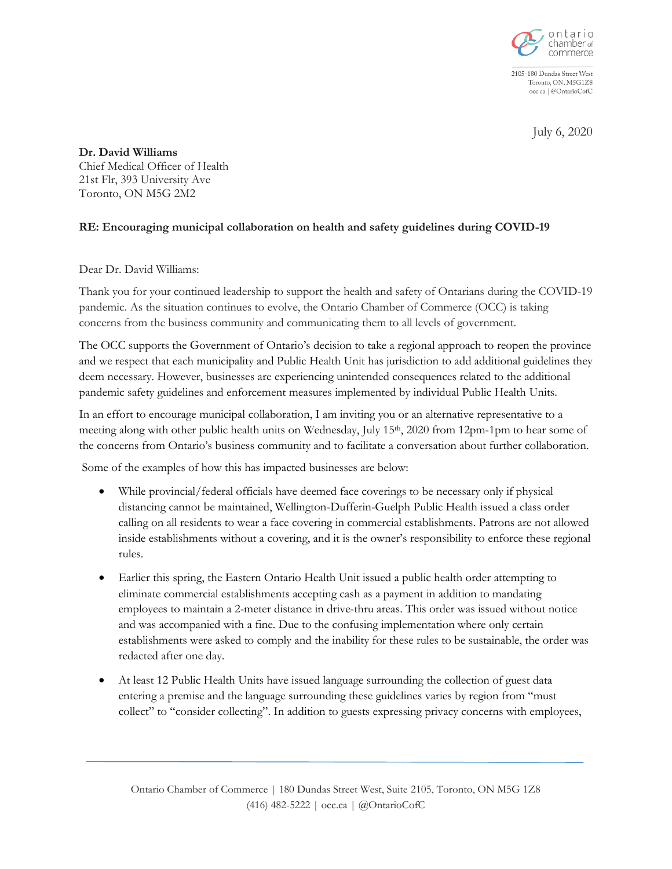

2105-180 Dundas Street West Toronto, ON, M5G1Z8 occ.ca | @OntarioCofC

July 6, 2020

**Dr. David Williams** Chief Medical Officer of Health 21st Flr, 393 University Ave Toronto, ON M5G 2M2

## **RE: Encouraging municipal collaboration on health and safety guidelines during COVID-19**

Dear Dr. David Williams:

Thank you for your continued leadership to support the health and safety of Ontarians during the COVID-19 pandemic. As the situation continues to evolve, the Ontario Chamber of Commerce (OCC) is taking concerns from the business community and communicating them to all levels of government.

The OCC supports the Government of Ontario's decision to take a regional approach to reopen the province and we respect that each municipality and Public Health Unit has jurisdiction to add additional guidelines they deem necessary. However, businesses are experiencing unintended consequences related to the additional pandemic safety guidelines and enforcement measures implemented by individual Public Health Units.

In an effort to encourage municipal collaboration, I am inviting you or an alternative representative to a meeting along with other public health units on Wednesday, July 15th, 2020 from 12pm-1pm to hear some of the concerns from Ontario's business community and to facilitate a conversation about further collaboration.

Some of the examples of how this has impacted businesses are below:

- While provincial/federal officials have deemed face coverings to be necessary only if physical distancing cannot be maintained, Wellington-Dufferin-Guelph Public Health issued a class order calling on all residents to wear a face covering in commercial establishments. Patrons are not allowed inside establishments without a covering, and it is the owner's responsibility to enforce these regional rules.
- Earlier this spring, the Eastern Ontario Health Unit issued a public health order attempting to eliminate commercial establishments accepting cash as a payment in addition to mandating employees to maintain a 2-meter distance in drive-thru areas. This order was issued without notice and was accompanied with a fine. Due to the confusing implementation where only certain establishments were asked to comply and the inability for these rules to be sustainable, the order was redacted after one day.
- At least 12 Public Health Units have issued language surrounding the collection of guest data entering a premise and the language surrounding these guidelines varies by region from "must collect" to "consider collecting". In addition to guests expressing privacy concerns with employees,